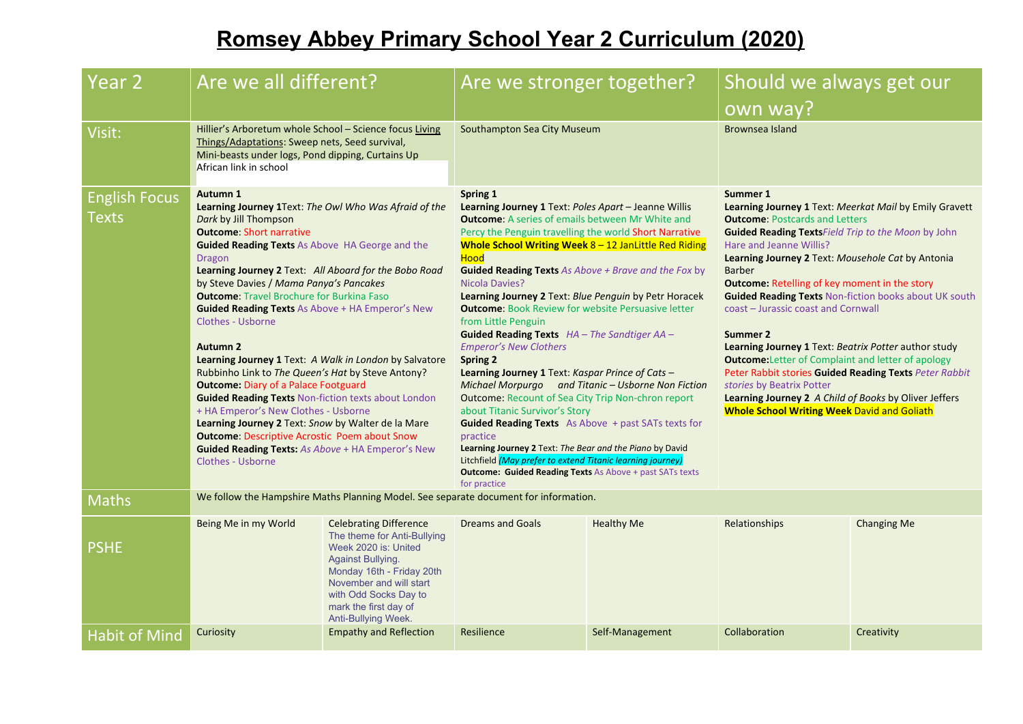## **Romsey Abbey Primary School Year 2 Curriculum (2020)**

| Year 2                        | Are we all different?                                                                                                                                                                                                                                                                                                                                                                                                                                                                                                                                                                                                                                                                                                                                                                                                                                                                                                                                |                                                                                                                                                                                                                                                   | Are we stronger together?<br>Southampton Sea City Museum                                                                                                                                                                                                                                                                                                                                                                                                                                                                                                                                                                                                                                                                                                                                                                                                                                                                                                                                                                                                                                        |                   | Should we always get our<br>own way?<br><b>Brownsea Island</b>                                                                                                                                                                                                                                                                                                                                                                                                                                                                                                                                                                                                                                                                                                                          |                    |
|-------------------------------|------------------------------------------------------------------------------------------------------------------------------------------------------------------------------------------------------------------------------------------------------------------------------------------------------------------------------------------------------------------------------------------------------------------------------------------------------------------------------------------------------------------------------------------------------------------------------------------------------------------------------------------------------------------------------------------------------------------------------------------------------------------------------------------------------------------------------------------------------------------------------------------------------------------------------------------------------|---------------------------------------------------------------------------------------------------------------------------------------------------------------------------------------------------------------------------------------------------|-------------------------------------------------------------------------------------------------------------------------------------------------------------------------------------------------------------------------------------------------------------------------------------------------------------------------------------------------------------------------------------------------------------------------------------------------------------------------------------------------------------------------------------------------------------------------------------------------------------------------------------------------------------------------------------------------------------------------------------------------------------------------------------------------------------------------------------------------------------------------------------------------------------------------------------------------------------------------------------------------------------------------------------------------------------------------------------------------|-------------------|-----------------------------------------------------------------------------------------------------------------------------------------------------------------------------------------------------------------------------------------------------------------------------------------------------------------------------------------------------------------------------------------------------------------------------------------------------------------------------------------------------------------------------------------------------------------------------------------------------------------------------------------------------------------------------------------------------------------------------------------------------------------------------------------|--------------------|
| Visit:                        | Hillier's Arboretum whole School - Science focus Living<br>Things/Adaptations: Sweep nets, Seed survival,<br>Mini-beasts under logs, Pond dipping, Curtains Up<br>African link in school                                                                                                                                                                                                                                                                                                                                                                                                                                                                                                                                                                                                                                                                                                                                                             |                                                                                                                                                                                                                                                   |                                                                                                                                                                                                                                                                                                                                                                                                                                                                                                                                                                                                                                                                                                                                                                                                                                                                                                                                                                                                                                                                                                 |                   |                                                                                                                                                                                                                                                                                                                                                                                                                                                                                                                                                                                                                                                                                                                                                                                         |                    |
| <b>English Focus</b><br>Texts | Autumn 1<br>Learning Journey 1Text: The Owl Who Was Afraid of the<br>Dark by Jill Thompson<br><b>Outcome: Short narrative</b><br><b>Guided Reading Texts As Above HA George and the</b><br><b>Dragon</b><br>Learning Journey 2 Text: All Aboard for the Bobo Road<br>by Steve Davies / Mama Panya's Pancakes<br><b>Outcome:</b> Travel Brochure for Burkina Faso<br><b>Guided Reading Texts As Above + HA Emperor's New</b><br><b>Clothes - Usborne</b><br><b>Autumn 2</b><br>Learning Journey 1 Text: A Walk in London by Salvatore<br>Rubbinho Link to The Queen's Hat by Steve Antony?<br><b>Outcome: Diary of a Palace Footguard</b><br><b>Guided Reading Texts Non-fiction texts about London</b><br>+ HA Emperor's New Clothes - Usborne<br>Learning Journey 2 Text: Snow by Walter de la Mare<br><b>Outcome: Descriptive Acrostic Poem about Snow</b><br><b>Guided Reading Texts: As Above + HA Emperor's New</b><br><b>Clothes - Usborne</b> |                                                                                                                                                                                                                                                   | Spring 1<br>Learning Journey 1 Text: Poles Apart - Jeanne Willis<br><b>Outcome:</b> A series of emails between Mr White and<br>Percy the Penguin travelling the world Short Narrative<br>Whole School Writing Week 8 - 12 JanLittle Red Riding<br><b>Hood</b><br><b>Guided Reading Texts</b> As Above + Brave and the Fox by<br>Nicola Davies?<br>Learning Journey 2 Text: Blue Penguin by Petr Horacek<br><b>Outcome: Book Review for website Persuasive letter</b><br>from Little Penguin<br>Guided Reading Texts HA - The Sandtiger AA -<br><b>Emperor's New Clothers</b><br><b>Spring 2</b><br>Learning Journey 1 Text: Kaspar Prince of Cats -<br>Michael Morpurgo and Titanic - Usborne Non Fiction<br><b>Outcome: Recount of Sea City Trip Non-chron report</b><br>about Titanic Survivor's Story<br><b>Guided Reading Texts</b> As Above + past SATs texts for<br>practice<br>Learning Journey 2 Text: The Bear and the Piano by David<br>Litchfield (May prefer to extend Titanic learning journey)<br><b>Outcome: Guided Reading Texts As Above + past SATs texts</b><br>for practice |                   | Summer 1<br>Learning Journey 1 Text: Meerkat Mail by Emily Gravett<br><b>Outcome: Postcards and Letters</b><br><b>Guided Reading Texts Field Trip to the Moon by John</b><br>Hare and Jeanne Willis?<br>Learning Journey 2 Text: Mousehole Cat by Antonia<br><b>Barber</b><br><b>Outcome: Retelling of key moment in the story</b><br><b>Guided Reading Texts Non-fiction books about UK south</b><br>coast - Jurassic coast and Cornwall<br>Summer 2<br><b>Learning Journey 1 Text: Beatrix Potter author study</b><br><b>Outcome:</b> Letter of Complaint and letter of apology<br>Peter Rabbit stories Guided Reading Texts Peter Rabbit<br>stories by Beatrix Potter<br>Learning Journey 2 A Child of Books by Oliver Jeffers<br><b>Whole School Writing Week David and Goliath</b> |                    |
| <b>Maths</b>                  | We follow the Hampshire Maths Planning Model. See separate document for information.                                                                                                                                                                                                                                                                                                                                                                                                                                                                                                                                                                                                                                                                                                                                                                                                                                                                 |                                                                                                                                                                                                                                                   |                                                                                                                                                                                                                                                                                                                                                                                                                                                                                                                                                                                                                                                                                                                                                                                                                                                                                                                                                                                                                                                                                                 |                   |                                                                                                                                                                                                                                                                                                                                                                                                                                                                                                                                                                                                                                                                                                                                                                                         |                    |
| <b>PSHE</b>                   | Being Me in my World                                                                                                                                                                                                                                                                                                                                                                                                                                                                                                                                                                                                                                                                                                                                                                                                                                                                                                                                 | <b>Celebrating Difference</b><br>The theme for Anti-Bullying<br>Week 2020 is: United<br><b>Against Bullying.</b><br>Monday 16th - Friday 20th<br>November and will start<br>with Odd Socks Day to<br>mark the first day of<br>Anti-Bullying Week. | <b>Dreams and Goals</b>                                                                                                                                                                                                                                                                                                                                                                                                                                                                                                                                                                                                                                                                                                                                                                                                                                                                                                                                                                                                                                                                         | <b>Healthy Me</b> | Relationships                                                                                                                                                                                                                                                                                                                                                                                                                                                                                                                                                                                                                                                                                                                                                                           | <b>Changing Me</b> |
| <b>Habit of Mind</b>          | Curiosity                                                                                                                                                                                                                                                                                                                                                                                                                                                                                                                                                                                                                                                                                                                                                                                                                                                                                                                                            | <b>Empathy and Reflection</b>                                                                                                                                                                                                                     | Resilience                                                                                                                                                                                                                                                                                                                                                                                                                                                                                                                                                                                                                                                                                                                                                                                                                                                                                                                                                                                                                                                                                      | Self-Management   | Collaboration                                                                                                                                                                                                                                                                                                                                                                                                                                                                                                                                                                                                                                                                                                                                                                           | Creativity         |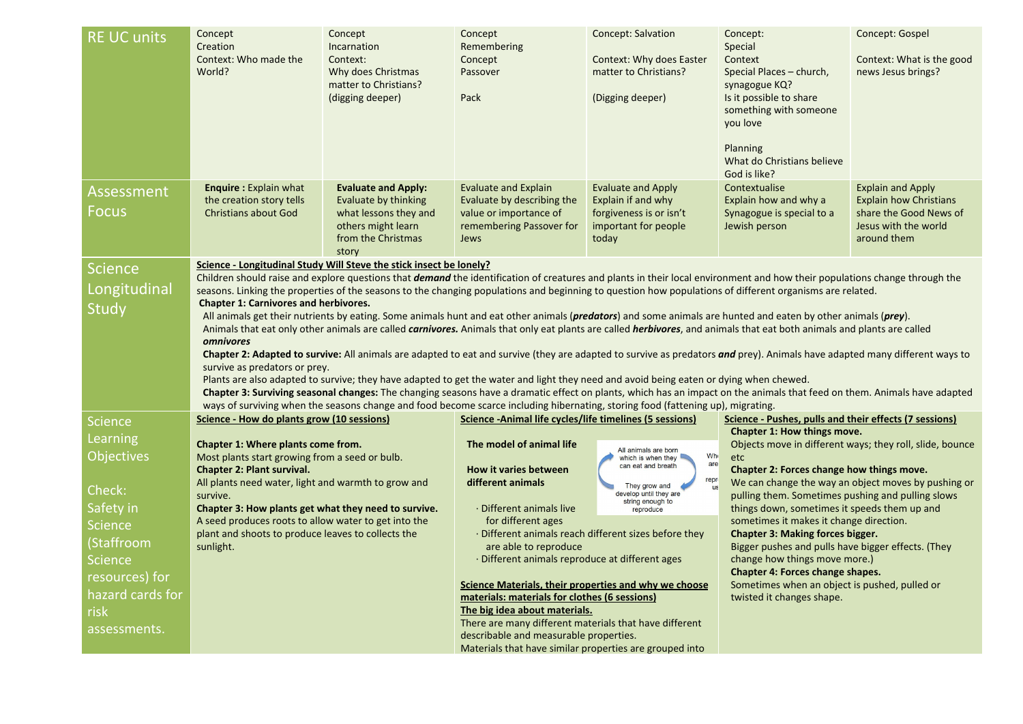| <b>RE UC units</b>                                                                                                                                                              | Concept<br>Creation<br>Context: Who made the<br>World?                                                                                                                                                                                                                                                                                                                                                                                                                                                                                                                                                                                                                                                                                                                                                                                                                                                                                                                                                                                                                                                                                                                                                                                                                                                                                                                                              | Concept<br>Incarnation<br>Context:<br>Why does Christmas<br>matter to Christians?<br>(digging deeper)                            | Concept<br>Remembering<br>Concept<br>Passover<br>Pack                                                                                                                                                                                                                                                                                                                                                                                                                                                                                                                             | <b>Concept: Salvation</b><br>Context: Why does Easter<br>matter to Christians?<br>(Digging deeper)                                                                                                                                | Concept:<br>Special<br>Context<br>Special Places - church,<br>synagogue KQ?<br>Is it possible to share<br>something with someone<br>you love<br>Planning<br>What do Christians believe<br>God is like?                                                                                                                                                                                                                                                                                                                                        | Concept: Gospel<br>Context: What is the good<br>news Jesus brings?                                                         |
|---------------------------------------------------------------------------------------------------------------------------------------------------------------------------------|-----------------------------------------------------------------------------------------------------------------------------------------------------------------------------------------------------------------------------------------------------------------------------------------------------------------------------------------------------------------------------------------------------------------------------------------------------------------------------------------------------------------------------------------------------------------------------------------------------------------------------------------------------------------------------------------------------------------------------------------------------------------------------------------------------------------------------------------------------------------------------------------------------------------------------------------------------------------------------------------------------------------------------------------------------------------------------------------------------------------------------------------------------------------------------------------------------------------------------------------------------------------------------------------------------------------------------------------------------------------------------------------------------|----------------------------------------------------------------------------------------------------------------------------------|-----------------------------------------------------------------------------------------------------------------------------------------------------------------------------------------------------------------------------------------------------------------------------------------------------------------------------------------------------------------------------------------------------------------------------------------------------------------------------------------------------------------------------------------------------------------------------------|-----------------------------------------------------------------------------------------------------------------------------------------------------------------------------------------------------------------------------------|-----------------------------------------------------------------------------------------------------------------------------------------------------------------------------------------------------------------------------------------------------------------------------------------------------------------------------------------------------------------------------------------------------------------------------------------------------------------------------------------------------------------------------------------------|----------------------------------------------------------------------------------------------------------------------------|
| <b>Assessment</b><br>Focus                                                                                                                                                      | <b>Enquire: Explain what</b><br>the creation story tells<br><b>Christians about God</b>                                                                                                                                                                                                                                                                                                                                                                                                                                                                                                                                                                                                                                                                                                                                                                                                                                                                                                                                                                                                                                                                                                                                                                                                                                                                                                             | <b>Evaluate and Apply:</b><br>Evaluate by thinking<br>what lessons they and<br>others might learn<br>from the Christmas<br>story | <b>Evaluate and Explain</b><br>Evaluate by describing the<br>value or importance of<br>remembering Passover for<br>Jews                                                                                                                                                                                                                                                                                                                                                                                                                                                           | <b>Evaluate and Apply</b><br>Explain if and why<br>forgiveness is or isn't<br>important for people<br>today                                                                                                                       | Contextualise<br>Explain how and why a<br>Synagogue is special to a<br>Jewish person                                                                                                                                                                                                                                                                                                                                                                                                                                                          | <b>Explain and Apply</b><br><b>Explain how Christians</b><br>share the Good News of<br>Jesus with the world<br>around them |
| <b>Science</b><br>Longitudinal<br><b>Study</b>                                                                                                                                  | Science - Longitudinal Study Will Steve the stick insect be lonely?<br>Children should raise and explore questions that <i>demand</i> the identification of creatures and plants in their local environment and how their populations change through the<br>seasons. Linking the properties of the seasons to the changing populations and beginning to question how populations of different organisms are related.<br><b>Chapter 1: Carnivores and herbivores.</b><br>All animals get their nutrients by eating. Some animals hunt and eat other animals ( <i>predators</i> ) and some animals are hunted and eaten by other animals ( <i>prey</i> ).<br>Animals that eat only other animals are called <i>carnivores</i> . Animals that only eat plants are called <i>herbivores</i> , and animals that eat both animals and plants are called<br>omnivores<br>Chapter 2: Adapted to survive: All animals are adapted to eat and survive (they are adapted to survive as predators and prey). Animals have adapted many different ways to<br>survive as predators or prey.<br>Plants are also adapted to survive; they have adapted to get the water and light they need and avoid being eaten or dying when chewed.<br>Chapter 3: Surviving seasonal changes: The changing seasons have a dramatic effect on plants, which has an impact on the animals that feed on them. Animals have adapted |                                                                                                                                  |                                                                                                                                                                                                                                                                                                                                                                                                                                                                                                                                                                                   |                                                                                                                                                                                                                                   |                                                                                                                                                                                                                                                                                                                                                                                                                                                                                                                                               |                                                                                                                            |
| <b>Science</b><br>Learning<br><b>Objectives</b><br>Check:<br>Safety in<br>Science<br>(Staffroom<br><b>Science</b><br>resources) for<br>hazard cards for<br>risk<br>assessments. | ways of surviving when the seasons change and food become scarce including hibernating, storing food (fattening up), migrating.<br>Science - How do plants grow (10 sessions)<br>Chapter 1: Where plants come from.<br>Most plants start growing from a seed or bulb.<br><b>Chapter 2: Plant survival.</b><br>All plants need water, light and warmth to grow and<br>survive.<br>Chapter 3: How plants get what they need to survive.<br>A seed produces roots to allow water to get into the<br>plant and shoots to produce leaves to collects the<br>sunlight.                                                                                                                                                                                                                                                                                                                                                                                                                                                                                                                                                                                                                                                                                                                                                                                                                                    |                                                                                                                                  | Science - Animal life cycles/life timelines (5 sessions)<br>The model of animal life<br><b>How it varies between</b><br>different animals<br>· Different animals live<br>for different ages<br>are able to reproduce<br>· Different animals reproduce at different ages<br>Science Materials, their properties and why we choose<br>materials: materials for clothes (6 sessions)<br>The big idea about materials.<br>There are many different materials that have different<br>describable and measurable properties.<br>Materials that have similar properties are grouped into | All animals are born<br><b>Wh</b><br>which is when they<br>are<br>can eat and breath<br>repr<br>They grow and<br>develop until they are<br>string enough to<br>reproduce<br>· Different animals reach different sizes before they | Science - Pushes, pulls and their effects (7 sessions)<br>Chapter 1: How things move.<br>etc<br>Chapter 2: Forces change how things move.<br>pulling them. Sometimes pushing and pulling slows<br>things down, sometimes it speeds them up and<br>sometimes it makes it change direction.<br><b>Chapter 3: Making forces bigger.</b><br>Bigger pushes and pulls have bigger effects. (They<br>change how things move more.)<br>Chapter 4: Forces change shapes.<br>Sometimes when an object is pushed, pulled or<br>twisted it changes shape. | Objects move in different ways; they roll, slide, bounce<br>We can change the way an object moves by pushing or            |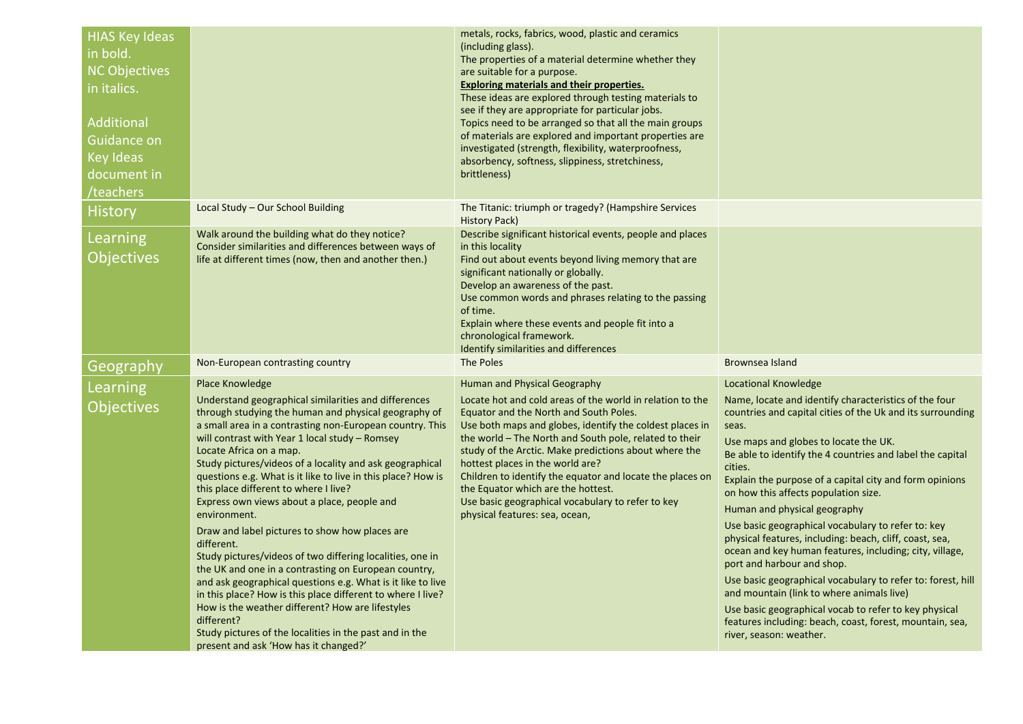| <b>HIAS Key Ideas</b><br>in bold.<br><b>NC Objectives</b><br>in italics.<br><b>Additional</b><br>Guidance on<br>Key Ideas<br>document in<br>teachers <sup></sup> |                                                                                                                                                                                                                                                                                                                                                                                                                                                                                                                                                                                                                                                                                                                                                                                                                                                                                                                                                                                                       | metals, rocks, fabrics, wood, plastic and ceramics<br>(including glass).<br>The properties of a material determine whether they<br>are suitable for a purpose.<br>Exploring materials and their properties.<br>These ideas are explored through testing materials to<br>see if they are appropriate for particular jobs.<br>Topics need to be arranged so that all the main groups<br>of materials are explored and important properties are<br>investigated (strength, flexibility, waterproofness,<br>absorbency, softness, slippiness, stretchiness,<br>brittleness) |                                                                                                                                                                                                                                                                                                                                                                                                                                                                                                                                                                                                                                                                                                                                                                                                                                                                                |
|------------------------------------------------------------------------------------------------------------------------------------------------------------------|-------------------------------------------------------------------------------------------------------------------------------------------------------------------------------------------------------------------------------------------------------------------------------------------------------------------------------------------------------------------------------------------------------------------------------------------------------------------------------------------------------------------------------------------------------------------------------------------------------------------------------------------------------------------------------------------------------------------------------------------------------------------------------------------------------------------------------------------------------------------------------------------------------------------------------------------------------------------------------------------------------|-------------------------------------------------------------------------------------------------------------------------------------------------------------------------------------------------------------------------------------------------------------------------------------------------------------------------------------------------------------------------------------------------------------------------------------------------------------------------------------------------------------------------------------------------------------------------|--------------------------------------------------------------------------------------------------------------------------------------------------------------------------------------------------------------------------------------------------------------------------------------------------------------------------------------------------------------------------------------------------------------------------------------------------------------------------------------------------------------------------------------------------------------------------------------------------------------------------------------------------------------------------------------------------------------------------------------------------------------------------------------------------------------------------------------------------------------------------------|
| History                                                                                                                                                          | Local Study - Our School Building                                                                                                                                                                                                                                                                                                                                                                                                                                                                                                                                                                                                                                                                                                                                                                                                                                                                                                                                                                     | The Titanic: triumph or tragedy? (Hampshire Services<br><b>History Pack)</b>                                                                                                                                                                                                                                                                                                                                                                                                                                                                                            |                                                                                                                                                                                                                                                                                                                                                                                                                                                                                                                                                                                                                                                                                                                                                                                                                                                                                |
| Learning<br><b>Objectives</b>                                                                                                                                    | Walk around the building what do they notice?<br>Consider similarities and differences between ways of<br>life at different times (now, then and another then.)                                                                                                                                                                                                                                                                                                                                                                                                                                                                                                                                                                                                                                                                                                                                                                                                                                       | Describe significant historical events, people and places<br>in this locality<br>Find out about events beyond living memory that are<br>significant nationally or globally.<br>Develop an awareness of the past.<br>Use common words and phrases relating to the passing<br>of time.<br>Explain where these events and people fit into a<br>chronological framework.<br>Identify similarities and differences                                                                                                                                                           |                                                                                                                                                                                                                                                                                                                                                                                                                                                                                                                                                                                                                                                                                                                                                                                                                                                                                |
| Geography                                                                                                                                                        | Non-European contrasting country                                                                                                                                                                                                                                                                                                                                                                                                                                                                                                                                                                                                                                                                                                                                                                                                                                                                                                                                                                      | The Poles                                                                                                                                                                                                                                                                                                                                                                                                                                                                                                                                                               | Brownsea Island                                                                                                                                                                                                                                                                                                                                                                                                                                                                                                                                                                                                                                                                                                                                                                                                                                                                |
| Learning<br><b>Objectives</b>                                                                                                                                    | Place Knowledge<br>Understand geographical similarities and differences<br>through studying the human and physical geography of<br>a small area in a contrasting non-European country. This<br>will contrast with Year 1 local study - Romsey<br>Locate Africa on a map.<br>Study pictures/videos of a locality and ask geographical<br>questions e.g. What is it like to live in this place? How is<br>this place different to where I live?<br>Express own views about a place, people and<br>environment.<br>Draw and label pictures to show how places are<br>different.<br>Study pictures/videos of two differing localities, one in<br>the UK and one in a contrasting on European country,<br>and ask geographical questions e.g. What is it like to live<br>in this place? How is this place different to where I live?<br>How is the weather different? How are lifestyles<br>different?<br>Study pictures of the localities in the past and in the<br>present and ask 'How has it changed?' | Human and Physical Geography<br>Locate hot and cold areas of the world in relation to the<br>Equator and the North and South Poles.<br>Use both maps and globes, identify the coldest places in<br>the world - The North and South pole, related to their<br>study of the Arctic. Make predictions about where the<br>hottest places in the world are?<br>Children to identify the equator and locate the places on<br>the Equator which are the hottest.<br>Use basic geographical vocabulary to refer to key<br>physical features: sea, ocean,                        | Locational Knowledge<br>Name, locate and identify characteristics of the four<br>countries and capital cities of the Uk and its surrounding<br>seas.<br>Use maps and globes to locate the UK.<br>Be able to identify the 4 countries and label the capital<br>cities.<br>Explain the purpose of a capital city and form opinions<br>on how this affects population size.<br>Human and physical geography<br>Use basic geographical vocabulary to refer to: key<br>physical features, including: beach, cliff, coast, sea,<br>ocean and key human features, including; city, village,<br>port and harbour and shop.<br>Use basic geographical vocabulary to refer to: forest, hill<br>and mountain (link to where animals live)<br>Use basic geographical vocab to refer to key physical<br>features including: beach, coast, forest, mountain, sea,<br>river, season: weather. |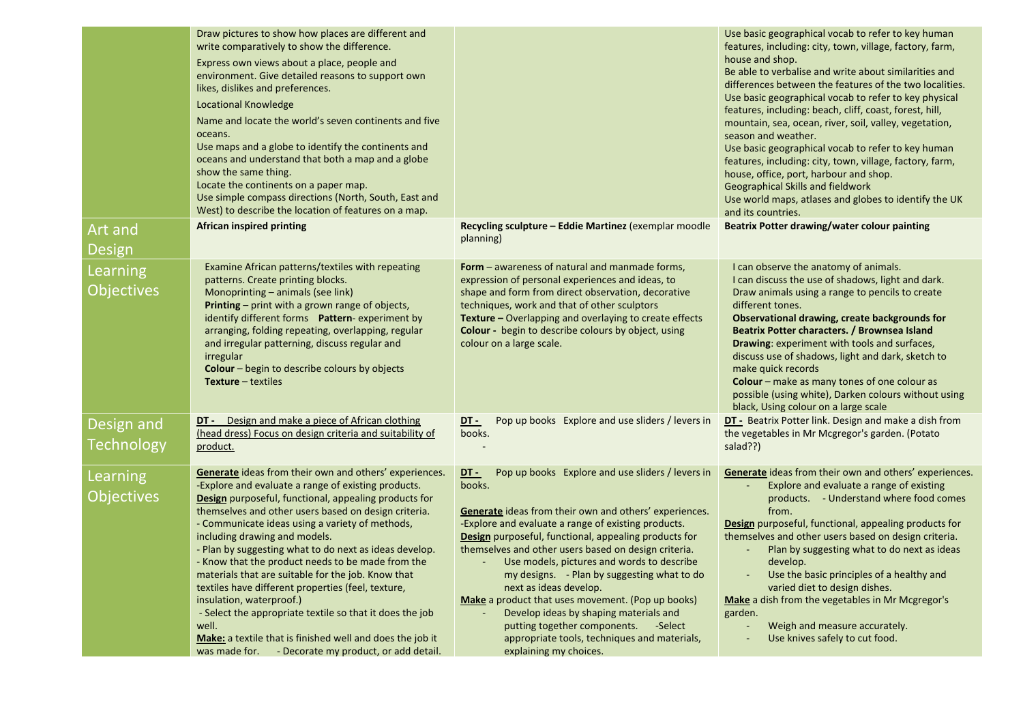|                                      | Draw pictures to show how places are different and<br>write comparatively to show the difference.<br>Express own views about a place, people and<br>environment. Give detailed reasons to support own<br>likes, dislikes and preferences.<br><b>Locational Knowledge</b><br>Name and locate the world's seven continents and five<br>oceans.<br>Use maps and a globe to identify the continents and<br>oceans and understand that both a map and a globe<br>show the same thing.<br>Locate the continents on a paper map.<br>Use simple compass directions (North, South, East and<br>West) to describe the location of features on a map.                                                                                                                         |                                                                                                                                                                                                                                                                                                                                                                                                                                                                                                                                                                                                                                                                             | Use basic geographical vocab to refer to key human<br>features, including: city, town, village, factory, farm,<br>house and shop.<br>Be able to verbalise and write about similarities and<br>differences between the features of the two localities.<br>Use basic geographical vocab to refer to key physical<br>features, including: beach, cliff, coast, forest, hill,<br>mountain, sea, ocean, river, soil, valley, vegetation,<br>season and weather.<br>Use basic geographical vocab to refer to key human<br>features, including: city, town, village, factory, farm,<br>house, office, port, harbour and shop.<br>Geographical Skills and fieldwork<br>Use world maps, atlases and globes to identify the UK<br>and its countries. |
|--------------------------------------|--------------------------------------------------------------------------------------------------------------------------------------------------------------------------------------------------------------------------------------------------------------------------------------------------------------------------------------------------------------------------------------------------------------------------------------------------------------------------------------------------------------------------------------------------------------------------------------------------------------------------------------------------------------------------------------------------------------------------------------------------------------------|-----------------------------------------------------------------------------------------------------------------------------------------------------------------------------------------------------------------------------------------------------------------------------------------------------------------------------------------------------------------------------------------------------------------------------------------------------------------------------------------------------------------------------------------------------------------------------------------------------------------------------------------------------------------------------|--------------------------------------------------------------------------------------------------------------------------------------------------------------------------------------------------------------------------------------------------------------------------------------------------------------------------------------------------------------------------------------------------------------------------------------------------------------------------------------------------------------------------------------------------------------------------------------------------------------------------------------------------------------------------------------------------------------------------------------------|
| Art and<br><b>Design</b>             | <b>African inspired printing</b>                                                                                                                                                                                                                                                                                                                                                                                                                                                                                                                                                                                                                                                                                                                                   | Recycling sculpture - Eddie Martinez (exemplar moodle<br>planning)                                                                                                                                                                                                                                                                                                                                                                                                                                                                                                                                                                                                          | <b>Beatrix Potter drawing/water colour painting</b>                                                                                                                                                                                                                                                                                                                                                                                                                                                                                                                                                                                                                                                                                        |
| Learning<br><b>Objectives</b>        | Examine African patterns/textiles with repeating<br>patterns. Create printing blocks.<br>Monoprinting - animals (see link)<br>Printing - print with a grown range of objects,<br>identify different forms Pattern-experiment by<br>arranging, folding repeating, overlapping, regular<br>and irregular patterning, discuss regular and<br>irregular<br>Colour - begin to describe colours by objects<br><b>Texture</b> $-$ textiles                                                                                                                                                                                                                                                                                                                                | <b>Form</b> – awareness of natural and manmade forms,<br>expression of personal experiences and ideas, to<br>shape and form from direct observation, decorative<br>techniques, work and that of other sculptors<br>Texture - Overlapping and overlaying to create effects<br>Colour - begin to describe colours by object, using<br>colour on a large scale.                                                                                                                                                                                                                                                                                                                | I can observe the anatomy of animals.<br>I can discuss the use of shadows, light and dark.<br>Draw animals using a range to pencils to create<br>different tones.<br>Observational drawing, create backgrounds for<br>Beatrix Potter characters. / Brownsea Island<br>Drawing: experiment with tools and surfaces,<br>discuss use of shadows, light and dark, sketch to<br>make quick records<br>Colour - make as many tones of one colour as<br>possible (using white), Darken colours without using<br>black, Using colour on a large scale                                                                                                                                                                                              |
| Design and<br><b>Technology</b>      | <b>DT</b> - Design and make a piece of African clothing<br>(head dress) Focus on design criteria and suitability of<br>product.                                                                                                                                                                                                                                                                                                                                                                                                                                                                                                                                                                                                                                    | Pop up books Explore and use sliders / levers in<br><u>DT -</u><br>books.                                                                                                                                                                                                                                                                                                                                                                                                                                                                                                                                                                                                   | DT - Beatrix Potter link. Design and make a dish from<br>the vegetables in Mr Mcgregor's garden. (Potato<br>salad??)                                                                                                                                                                                                                                                                                                                                                                                                                                                                                                                                                                                                                       |
| <b>Learning</b><br><b>Objectives</b> | Generate ideas from their own and others' experiences.<br>-Explore and evaluate a range of existing products.<br>Design purposeful, functional, appealing products for<br>themselves and other users based on design criteria.<br>- Communicate ideas using a variety of methods,<br>including drawing and models.<br>- Plan by suggesting what to do next as ideas develop.<br>- Know that the product needs to be made from the<br>materials that are suitable for the job. Know that<br>textiles have different properties (feel, texture,<br>insulation, waterproof.)<br>- Select the appropriate textile so that it does the job<br>well.<br>Make: a textile that is finished well and does the job it<br>was made for. - Decorate my product, or add detail. | Pop up books Explore and use sliders / levers in<br><u>DT -</u><br>books.<br><b>Generate</b> ideas from their own and others' experiences.<br>-Explore and evaluate a range of existing products.<br><b>Design</b> purposeful, functional, appealing products for<br>themselves and other users based on design criteria.<br>Use models, pictures and words to describe<br>my designs. - Plan by suggesting what to do<br>next as ideas develop.<br><b>Make</b> a product that uses movement. (Pop up books)<br>Develop ideas by shaping materials and<br>putting together components.<br>-Select<br>appropriate tools, techniques and materials,<br>explaining my choices. | Generate ideas from their own and others' experiences.<br>Explore and evaluate a range of existing<br>products. - Understand where food comes<br>from.<br><b>Design</b> purposeful, functional, appealing products for<br>themselves and other users based on design criteria.<br>Plan by suggesting what to do next as ideas<br>develop.<br>Use the basic principles of a healthy and<br>varied diet to design dishes.<br>Make a dish from the vegetables in Mr Mcgregor's<br>garden.<br>Weigh and measure accurately.<br>Use knives safely to cut food.                                                                                                                                                                                  |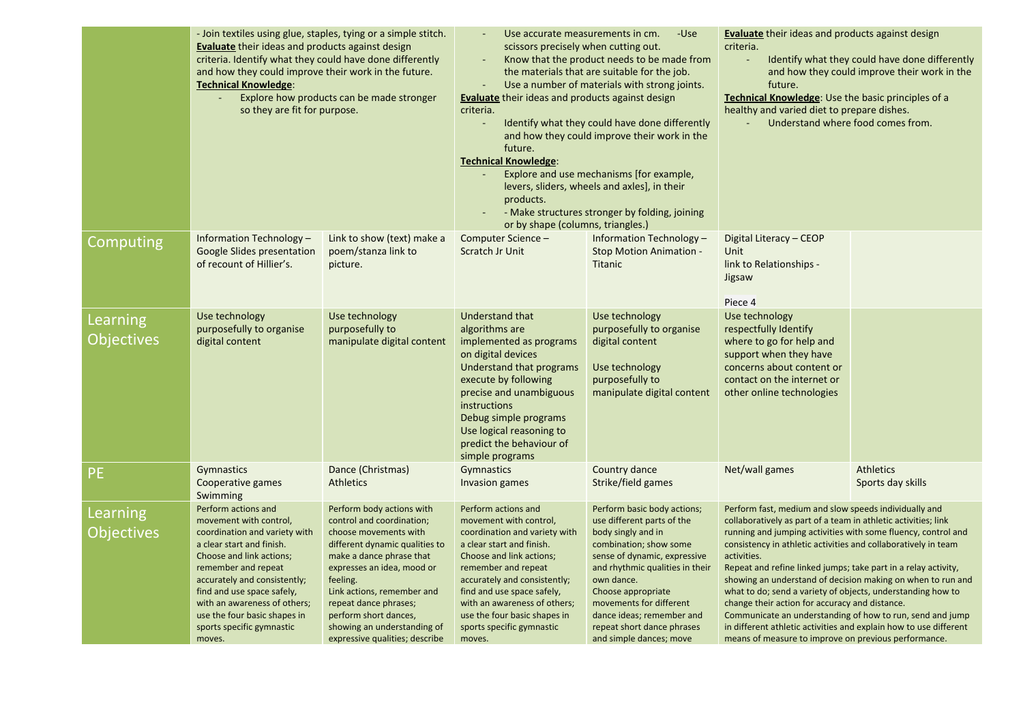|                               | - Join textiles using glue, staples, tying or a simple stitch.<br><b>Evaluate</b> their ideas and products against design<br>criteria. Identify what they could have done differently<br>and how they could improve their work in the future.<br><b>Technical Knowledge:</b><br>Explore how products can be made stronger<br>so they are fit for purpose. |                                                                                                                                                                                                                                                                                                                                          | Use accurate measurements in cm.<br>-Use<br>scissors precisely when cutting out.<br>Know that the product needs to be made from<br>the materials that are suitable for the job.<br>Use a number of materials with strong joints.<br>$\sim$<br><b>Evaluate</b> their ideas and products against design<br>criteria.<br>Identify what they could have done differently<br>and how they could improve their work in the<br>future.<br><b>Technical Knowledge:</b><br>Explore and use mechanisms [for example,<br>levers, sliders, wheels and axles], in their<br>products.<br>- Make structures stronger by folding, joining<br>or by shape (columns, triangles.) |                                                                                                                                                                                                                                                                                                                                   | <b>Evaluate</b> their ideas and products against design<br>criteria.<br>Identify what they could have done differently<br>and how they could improve their work in the<br>future.<br><b>Technical Knowledge:</b> Use the basic principles of a<br>healthy and varied diet to prepare dishes.<br>Understand where food comes from.                                                                                                                                                                                                                                                                                                                                                                                     |                                       |
|-------------------------------|-----------------------------------------------------------------------------------------------------------------------------------------------------------------------------------------------------------------------------------------------------------------------------------------------------------------------------------------------------------|------------------------------------------------------------------------------------------------------------------------------------------------------------------------------------------------------------------------------------------------------------------------------------------------------------------------------------------|----------------------------------------------------------------------------------------------------------------------------------------------------------------------------------------------------------------------------------------------------------------------------------------------------------------------------------------------------------------------------------------------------------------------------------------------------------------------------------------------------------------------------------------------------------------------------------------------------------------------------------------------------------------|-----------------------------------------------------------------------------------------------------------------------------------------------------------------------------------------------------------------------------------------------------------------------------------------------------------------------------------|-----------------------------------------------------------------------------------------------------------------------------------------------------------------------------------------------------------------------------------------------------------------------------------------------------------------------------------------------------------------------------------------------------------------------------------------------------------------------------------------------------------------------------------------------------------------------------------------------------------------------------------------------------------------------------------------------------------------------|---------------------------------------|
| Computing                     | Information Technology -<br><b>Google Slides presentation</b><br>of recount of Hillier's.                                                                                                                                                                                                                                                                 | Link to show (text) make a<br>poem/stanza link to<br>picture.                                                                                                                                                                                                                                                                            | Computer Science -<br>Scratch Jr Unit                                                                                                                                                                                                                                                                                                                                                                                                                                                                                                                                                                                                                          | Information Technology -<br><b>Stop Motion Animation -</b><br><b>Titanic</b>                                                                                                                                                                                                                                                      | Digital Literacy - CEOP<br>Unit<br>link to Relationships -<br>Jigsaw<br>Piece 4                                                                                                                                                                                                                                                                                                                                                                                                                                                                                                                                                                                                                                       |                                       |
| Learning<br><b>Objectives</b> | Use technology<br>purposefully to organise<br>digital content                                                                                                                                                                                                                                                                                             | Use technology<br>purposefully to<br>manipulate digital content                                                                                                                                                                                                                                                                          | Understand that<br>algorithms are<br>implemented as programs<br>on digital devices<br>Understand that programs<br>execute by following<br>precise and unambiguous<br><i>instructions</i><br>Debug simple programs<br>Use logical reasoning to<br>predict the behaviour of<br>simple programs                                                                                                                                                                                                                                                                                                                                                                   | Use technology<br>purposefully to organise<br>digital content<br>Use technology<br>purposefully to<br>manipulate digital content                                                                                                                                                                                                  | Use technology<br>respectfully Identify<br>where to go for help and<br>support when they have<br>concerns about content or<br>contact on the internet or<br>other online technologies                                                                                                                                                                                                                                                                                                                                                                                                                                                                                                                                 |                                       |
| <b>PE</b>                     | Gymnastics<br>Cooperative games<br>Swimming                                                                                                                                                                                                                                                                                                               | Dance (Christmas)<br><b>Athletics</b>                                                                                                                                                                                                                                                                                                    | Gymnastics<br>Invasion games                                                                                                                                                                                                                                                                                                                                                                                                                                                                                                                                                                                                                                   | Country dance<br>Strike/field games                                                                                                                                                                                                                                                                                               | Net/wall games                                                                                                                                                                                                                                                                                                                                                                                                                                                                                                                                                                                                                                                                                                        | <b>Athletics</b><br>Sports day skills |
| Learning<br><b>Objectives</b> | Perform actions and<br>movement with control,<br>coordination and variety with<br>a clear start and finish.<br>Choose and link actions;<br>remember and repeat<br>accurately and consistently;<br>find and use space safely,<br>with an awareness of others;<br>use the four basic shapes in<br>sports specific gymnastic<br>moves.                       | Perform body actions with<br>control and coordination;<br>choose movements with<br>different dynamic qualities to<br>make a dance phrase that<br>expresses an idea, mood or<br>feeling.<br>Link actions, remember and<br>repeat dance phrases;<br>perform short dances,<br>showing an understanding of<br>expressive qualities; describe | Perform actions and<br>movement with control,<br>coordination and variety with<br>a clear start and finish.<br>Choose and link actions;<br>remember and repeat<br>accurately and consistently;<br>find and use space safely,<br>with an awareness of others;<br>use the four basic shapes in<br>sports specific gymnastic<br>moves.                                                                                                                                                                                                                                                                                                                            | Perform basic body actions;<br>use different parts of the<br>body singly and in<br>combination; show some<br>sense of dynamic, expressive<br>and rhythmic qualities in their<br>own dance.<br>Choose appropriate<br>movements for different<br>dance ideas; remember and<br>repeat short dance phrases<br>and simple dances; move | Perform fast, medium and slow speeds individually and<br>collaboratively as part of a team in athletic activities; link<br>running and jumping activities with some fluency, control and<br>consistency in athletic activities and collaboratively in team<br>activities.<br>Repeat and refine linked jumps; take part in a relay activity,<br>showing an understand of decision making on when to run and<br>what to do; send a variety of objects, understanding how to<br>change their action for accuracy and distance.<br>Communicate an understanding of how to run, send and jump<br>in different athletic activities and explain how to use different<br>means of measure to improve on previous performance. |                                       |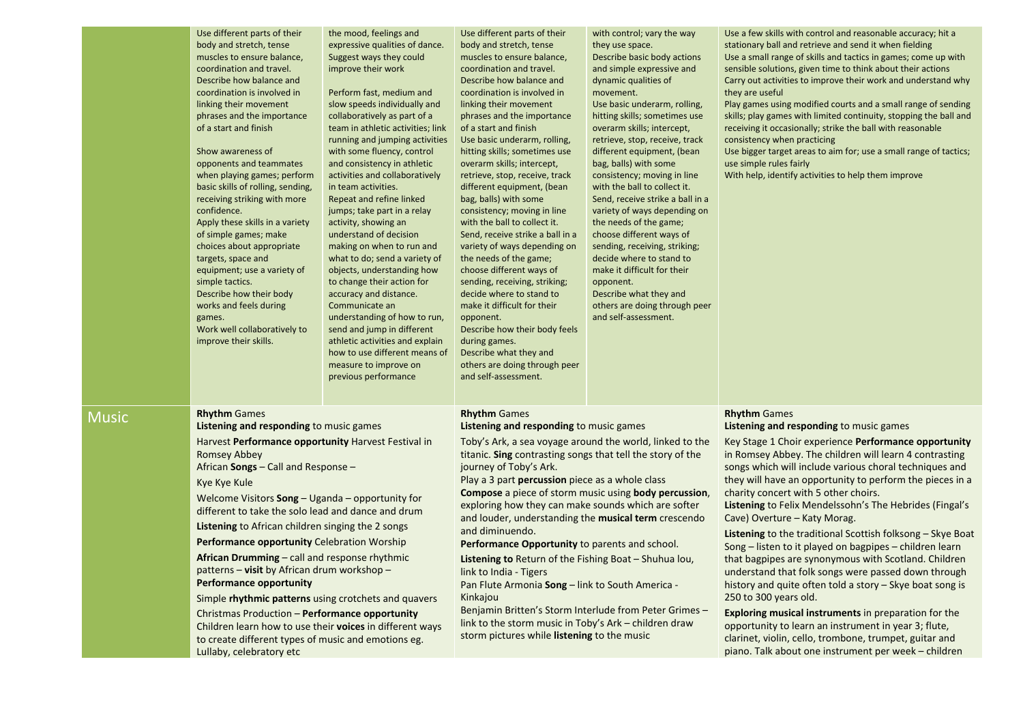|              | Use different parts of their<br>body and stretch, tense<br>muscles to ensure balance,<br>coordination and travel.<br>Describe how balance and<br>coordination is involved in<br>linking their movement<br>phrases and the importance<br>of a start and finish<br>Show awareness of<br>opponents and teammates<br>when playing games; perform<br>basic skills of rolling, sending,<br>receiving striking with more<br>confidence.<br>Apply these skills in a variety<br>of simple games; make<br>choices about appropriate<br>targets, space and<br>equipment; use a variety of<br>simple tactics.<br>Describe how their body<br>works and feels during<br>games.<br>Work well collaboratively to<br>improve their skills.                                                                                    | the mood, feelings and<br>expressive qualities of dance.<br>Suggest ways they could<br>improve their work<br>Perform fast, medium and<br>slow speeds individually and<br>collaboratively as part of a<br>team in athletic activities; link<br>running and jumping activities<br>with some fluency, control<br>and consistency in athletic<br>activities and collaboratively<br>in team activities.<br>Repeat and refine linked<br>jumps; take part in a relay<br>activity, showing an<br>understand of decision<br>making on when to run and<br>what to do; send a variety of<br>objects, understanding how<br>to change their action for<br>accuracy and distance.<br>Communicate an<br>understanding of how to run,<br>send and jump in different<br>athletic activities and explain<br>how to use different means of<br>measure to improve on<br>previous performance | Use different parts of their<br>body and stretch, tense<br>muscles to ensure balance,<br>coordination and travel.<br>Describe how balance and<br>coordination is involved in<br>linking their movement<br>phrases and the importance<br>of a start and finish<br>Use basic underarm, rolling,<br>hitting skills; sometimes use<br>overarm skills; intercept,<br>retrieve, stop, receive, track<br>different equipment, (bean<br>bag, balls) with some<br>consistency; moving in line<br>with the ball to collect it.<br>Send, receive strike a ball in a<br>variety of ways depending on<br>the needs of the game;<br>choose different ways of<br>sending, receiving, striking;<br>decide where to stand to<br>make it difficult for their<br>opponent.<br>Describe how their body feels<br>during games.<br>Describe what they and<br>others are doing through peer<br>and self-assessment. | with control; vary the way<br>they use space.<br>Describe basic body actions<br>and simple expressive and<br>dynamic qualities of<br>movement.<br>Use basic underarm, rolling,<br>hitting skills; sometimes use<br>overarm skills; intercept,<br>retrieve, stop, receive, track<br>different equipment, (bean<br>bag, balls) with some<br>consistency; moving in line<br>with the ball to collect it.<br>Send, receive strike a ball in a<br>variety of ways depending on<br>the needs of the game;<br>choose different ways of<br>sending, receiving, striking;<br>decide where to stand to<br>make it difficult for their<br>opponent.<br>Describe what they and<br>others are doing through peer<br>and self-assessment. | Use a few skills with control and reasonable accuracy; hit a<br>stationary ball and retrieve and send it when fielding<br>Use a small range of skills and tactics in games; come up with<br>sensible solutions, given time to think about their actions<br>Carry out activities to improve their work and understand why<br>they are useful<br>Play games using modified courts and a small range of sending<br>skills; play games with limited continuity, stopping the ball and<br>receiving it occasionally; strike the ball with reasonable<br>consistency when practicing<br>Use bigger target areas to aim for; use a small range of tactics;<br>use simple rules fairly<br>With help, identify activities to help them improve                                                                                                                                                                                                                                                                           |
|--------------|--------------------------------------------------------------------------------------------------------------------------------------------------------------------------------------------------------------------------------------------------------------------------------------------------------------------------------------------------------------------------------------------------------------------------------------------------------------------------------------------------------------------------------------------------------------------------------------------------------------------------------------------------------------------------------------------------------------------------------------------------------------------------------------------------------------|--------------------------------------------------------------------------------------------------------------------------------------------------------------------------------------------------------------------------------------------------------------------------------------------------------------------------------------------------------------------------------------------------------------------------------------------------------------------------------------------------------------------------------------------------------------------------------------------------------------------------------------------------------------------------------------------------------------------------------------------------------------------------------------------------------------------------------------------------------------------------|----------------------------------------------------------------------------------------------------------------------------------------------------------------------------------------------------------------------------------------------------------------------------------------------------------------------------------------------------------------------------------------------------------------------------------------------------------------------------------------------------------------------------------------------------------------------------------------------------------------------------------------------------------------------------------------------------------------------------------------------------------------------------------------------------------------------------------------------------------------------------------------------|-----------------------------------------------------------------------------------------------------------------------------------------------------------------------------------------------------------------------------------------------------------------------------------------------------------------------------------------------------------------------------------------------------------------------------------------------------------------------------------------------------------------------------------------------------------------------------------------------------------------------------------------------------------------------------------------------------------------------------|-----------------------------------------------------------------------------------------------------------------------------------------------------------------------------------------------------------------------------------------------------------------------------------------------------------------------------------------------------------------------------------------------------------------------------------------------------------------------------------------------------------------------------------------------------------------------------------------------------------------------------------------------------------------------------------------------------------------------------------------------------------------------------------------------------------------------------------------------------------------------------------------------------------------------------------------------------------------------------------------------------------------|
| <b>Music</b> | <b>Rhythm Games</b><br>Listening and responding to music games<br>Harvest Performance opportunity Harvest Festival in<br>Romsey Abbey<br>African Songs – Call and Response –<br>Kye Kye Kule<br>Welcome Visitors Song - Uganda - opportunity for<br>different to take the solo lead and dance and drum<br>Listening to African children singing the 2 songs<br>Performance opportunity Celebration Worship<br>African Drumming - call and response rhythmic<br>patterns <b>– visit</b> by African drum workshop –<br><b>Performance opportunity</b><br>Simple rhythmic patterns using crotchets and quavers<br>Christmas Production - Performance opportunity<br>Children learn how to use their voices in different ways<br>to create different types of music and emotions eg.<br>Lullaby, celebratory etc |                                                                                                                                                                                                                                                                                                                                                                                                                                                                                                                                                                                                                                                                                                                                                                                                                                                                          | <b>Rhythm Games</b><br>Listening and responding to music games<br>Toby's Ark, a sea voyage around the world, linked to the<br>titanic. Sing contrasting songs that tell the story of the<br>journey of Toby's Ark.<br>Play a 3 part percussion piece as a whole class<br>Compose a piece of storm music using body percussion,<br>exploring how they can make sounds which are softer<br>and louder, understanding the musical term crescendo<br>and diminuendo.<br>Performance Opportunity to parents and school.<br>Listening to Return of the Fishing Boat - Shuhua lou,<br>link to India - Tigers<br>Pan Flute Armonia Song - link to South America -<br>Kinkajou<br>Benjamin Britten's Storm Interlude from Peter Grimes -<br>link to the storm music in Toby's Ark - children draw<br>storm pictures while listening to the music                                                      |                                                                                                                                                                                                                                                                                                                                                                                                                                                                                                                                                                                                                                                                                                                             | <b>Rhythm Games</b><br>Listening and responding to music games<br>Key Stage 1 Choir experience Performance opportunity<br>in Romsey Abbey. The children will learn 4 contrasting<br>songs which will include various choral techniques and<br>they will have an opportunity to perform the pieces in a<br>charity concert with 5 other choirs.<br>Listening to Felix Mendelssohn's The Hebrides (Fingal's<br>Cave) Overture - Katy Morag.<br>Listening to the traditional Scottish folksong - Skye Boat<br>Song - listen to it played on bagpipes - children learn<br>that bagpipes are synonymous with Scotland. Children<br>understand that folk songs were passed down through<br>history and quite often told a story - Skye boat song is<br>250 to 300 years old.<br><b>Exploring musical instruments</b> in preparation for the<br>opportunity to learn an instrument in year 3; flute,<br>clarinet, violin, cello, trombone, trumpet, guitar and<br>piano. Talk about one instrument per week - children |